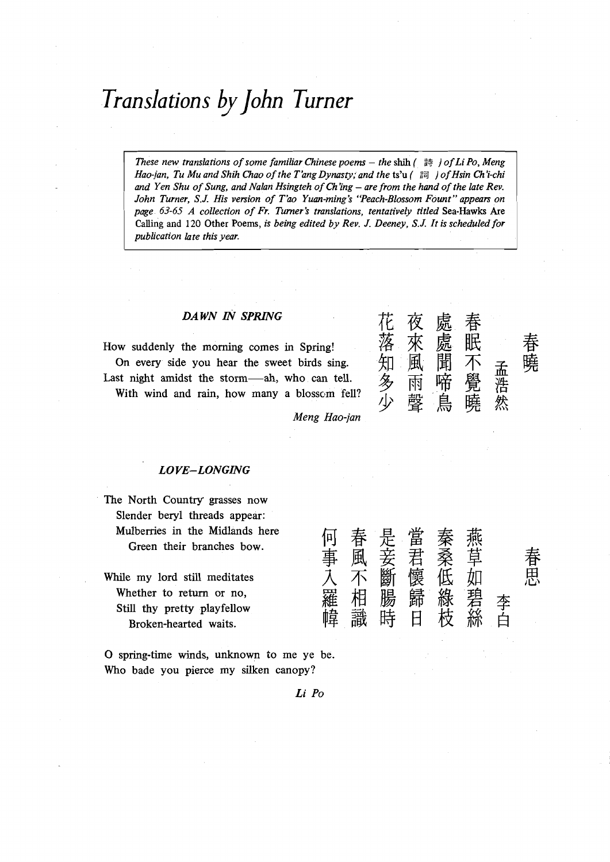# *Transla tion s* by *john Turner*

- - *These new translations of some familiar Chinese poems - the shih* ( 詩 ) *of Li Po, Meng Hao-jan, Tu Mu and Shih Chao of the T'ang Dynasty; and the* **ts'u** ( **Bd** ) *of Hsin Ch'i-chi*  and Yen Shu of Sung, and Nalan Hsingteh of Ch'ing – are from the hand of the late Rev. *John Turner, S.J. His version of T'ao Yuan-ming's 'Teach-Blossom Fount" appears on page 63-65 A collection of Fr. Turner's translations, tentatively titled* **Sea-Hawks Are Calling and 120 Other Poems,** *is being edited by Rev. J. Deeney, S.J. It is scheduled for publication late this year.* 

#### *DAWN IN SPRING*

How suddenly the morning comes in Spring! <sup>————————————————————————</sup> <sup>—————</sup><br>On every side you hear the sweet birds sing. 知 風 聞 不 <sub>子</sub> 曉 On every side you hear the sweet birds sing. Last night amidst the storm-ah, who can tell. With wind and rain, how many a blossom fell?



*Meng* Hao-jan

#### *LO VE-LONGING*

The North Country grasses now Slender beryl threads appear: Mulberries in the Midlands here 何 春 是 當 Green their branches bow.

While my lord still meditates Whether to return or no, Still thy pretty playfellow Broken-hearted waits.

0 spring-time winds, unknown to me ye be. Who bade you pierce my silken canopy?

事風妾君桑草 **才不斷懷低如** 

春 El *<sup>r</sup>***C1'** 

Li Po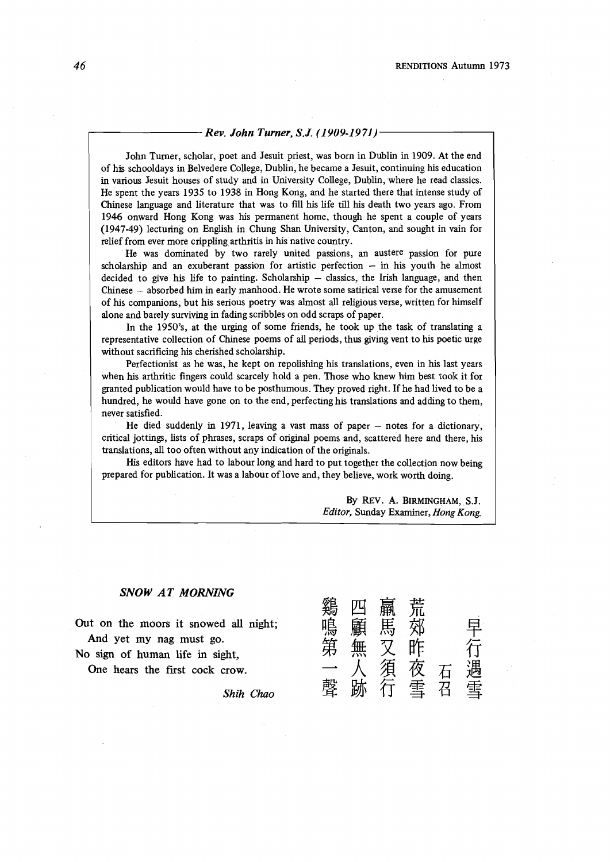#### *Rev. John Turner, S.J. (1 909-1971)*

John Turner, scholar, poet and Jesuit priest, was born in Dublin in 1909. At the end of his schooldays in Belvedere College, Dublin, he became a Jesuit, continuing his education in various Jesuit houses of study and in University College, Dublin, where he read classics. He spent the years 1935 to 1938 in Hong Kong, and he started there that intense study of Chinese language and literature that was to fill his life till his death two years ago. From 1946 onward Hong Kong was his permanent home, though he spent a couple of years (1947-49) lecturing on Enghsh in Chung Shan University, Canton, and sought in vain for relief from ever more crippling arthritis in his native country.

He was dominated by two rarely united passions, an austere passion for pure scholarship and an exuberant passion for artistic perfection  $-$  in his youth he almost decided to give his life to painting. Scholarship  $-$  classics, the Irish language, and then Chinese - absorbed him in early manhood. He wrote some satirical verse for the amusement of his companions, but his serious poetry was almost all religious verse, written for himself alone and barely surviving in fading scribbles on odd scraps of paper.

In the 1950's, at the urging of some friends, he took up the task of translating a representative collection of Chinese poems of all periods, thus giving vent to his poetic urge without sacrificing his cherished scholarship.

Perfectionist as he was, he kept on repolishing his translations, even in his last years when his arthritic fingers could scarcely hold a pen. Those who knew him best took it for granted publication would have to be posthumous. They proved right. If he had lived to be a hundred, he would have gone on to the end, perfecting his translations and adding to them, never satisfied.

He died suddenly in 1971, leaving a vast mass of paper  $-$  notes for a dictionary, critical jottings, lists of phrases, scraps of original poems and, scattered here and there, his translations, all too often without any indication of the originals.

His editors have had to labour long and hard to put together the collection now being prepared for publication. It was a labour of love and, they believe, work worth doing.

> By REV. A. BIRMINGHAM, S.J. *Editor,* Sunday Examiner, *Hong Kong.*

#### *SNOW AT MORNING*

**Out on the moors it snowed** all **night; And yet my nag must go.** 

**No sign of human life in sight,** 

One hears the first cock crow.

*Shih Chao* 

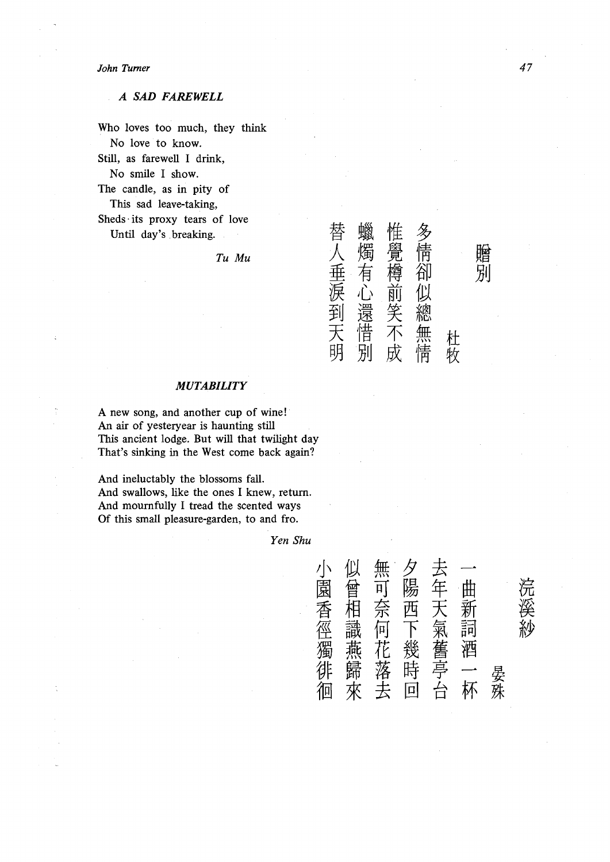#### *John Turner*

### *A SAD FAREWELL*

Who loves too much, they think No love to know. Still, as farewell I drink, No smile I show. The candle, as in pity of This sad leave-taking, Sheds its proxy tears of love Until day's breaking.  $\begin{array}{cc} T u & M u & \text{if } \mathcal{A} \tag{4} \mathcal{A} \end{array}$ 

Tu Mu

## 人 燭 覺 情 垂 有 樽 卻 心 前 似 5<br>到 還<br>H<br>H ]<br>天惜 不 無 杜<br>明 別 成 情 牧

#### *MUTABILITY*

**A** new song, and another cup of wine! An air of yesteryear is haunting still This ancient lodge. But will that twilight day That's sinking in the West come back again?

And ineluctably the blossoms fall. And swallows, like the ones I knew, return. And mournfully I tread the scented ways Of this small pleasure-garden, to and fro.

*Yen Shu* 

|         |         |         |         |         |      |    | 浣溪紗 |
|---------|---------|---------|---------|---------|------|----|-----|
|         |         |         |         |         | 曲新詞酒 |    |     |
|         |         |         |         |         |      |    |     |
| 小園香徑獨徘徊 | 似曾相識燕歸來 | 無可奈何花落去 | 夕陽西下幾時回 | 去年天氣舊亭台 |      | 晏殊 |     |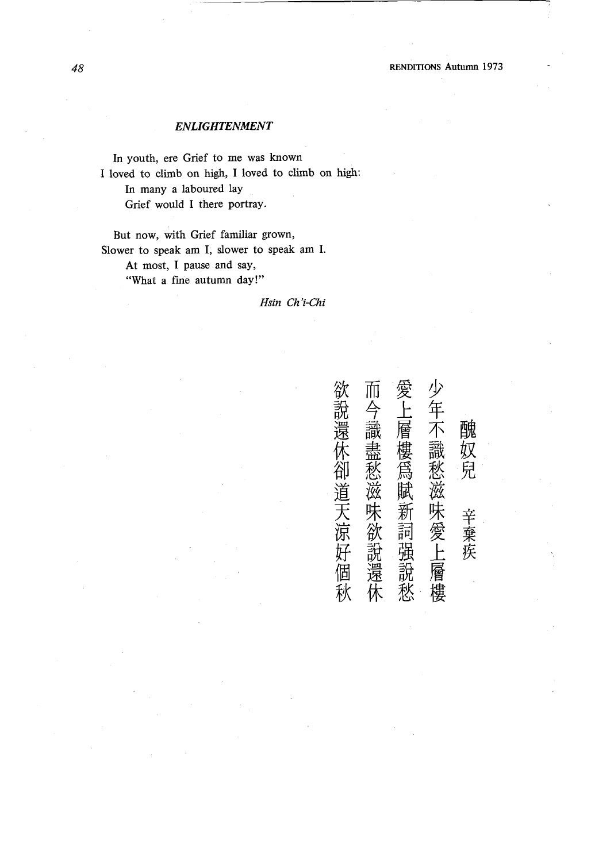## *ENLIGHTENMENT*

In youth, ere Grief to me was known I loved to climb on high, I loved to climb on high: In many a laboured lay Grief would I there portray.

But now, with Grief familiar grown, Slower to speak am I, slower to speak am I. At most, I pause and say, "What a fine autumn day!"

#### *Hsin Ch'i-Chi*

| 欲說還休卻道天涼好個秋 | 而<br>今識盡愁滋味欲說還休 | 愛上層樓為賦新詞强說愁 | 少年不識愁滋味愛上層樓 | 醜奴兒<br>辛棄疾 |
|-------------|-----------------|-------------|-------------|------------|
|             |                 |             |             |            |